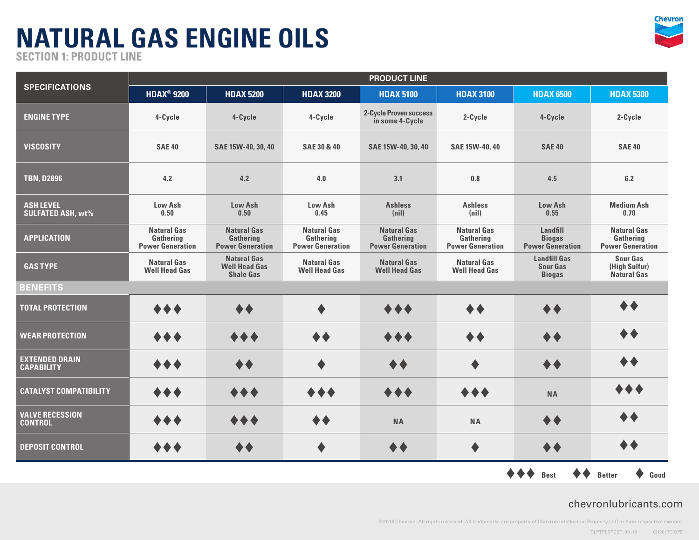

**SECTION 1: PRODUCT LINE**

| <b>SPECIFICATIONS</b>                        | <b>PRODUCT LINE</b>                                        |                                                                |                                                            |                                                            |                                                            |                                                         |                                                            |  |  |
|----------------------------------------------|------------------------------------------------------------|----------------------------------------------------------------|------------------------------------------------------------|------------------------------------------------------------|------------------------------------------------------------|---------------------------------------------------------|------------------------------------------------------------|--|--|
|                                              | <b>HDAX<sup>®</sup> 9200</b>                               | <b>HDAX 5200</b>                                               | <b>HDAX 3200</b>                                           | <b>HDAX 5100</b>                                           | <b>HDAX 3100</b>                                           | <b>HDAX 6500</b>                                        | <b>HDAX 5300</b>                                           |  |  |
| <b>ENGINE TYPE</b>                           | 4-Cycle                                                    | 4-Cycle                                                        | 4-Cycle                                                    | <b>2-Cycle Proven success</b><br>in some 4-Cycle           | 2-Cycle                                                    | 4-Cycle                                                 | 2-Cycle                                                    |  |  |
| <b>VISCOSITY</b>                             | <b>SAE 40</b>                                              | SAE 15W-40, 30, 40                                             | <b>SAE 30 &amp; 40</b>                                     | SAE 15W-40, 30, 40                                         | SAE 15W-40, 40                                             | <b>SAE 40</b>                                           | <b>SAE 40</b>                                              |  |  |
| <b>TBN. D2896</b>                            | 4.2                                                        | 4.2                                                            | 4.0                                                        | 3.1                                                        | 0.8                                                        | 4.5                                                     | 6.2                                                        |  |  |
| <b>ASH LEVEL</b><br><b>SULFATED ASH, wt%</b> | Low Ash<br>0.50                                            | Low Ash<br>0.50                                                | Low Ash<br>0.45                                            | <b>Ashless</b><br>(nil)                                    | <b>Ashless</b><br>(nil)                                    | <b>Low Ash</b><br>0.55                                  | <b>Medium Ash</b><br>0.70                                  |  |  |
| <b>APPLICATION</b>                           | <b>Natural Gas</b><br>Gathering<br><b>Power Generation</b> | <b>Natural Gas</b><br>Gathering<br><b>Power Generation</b>     | <b>Natural Gas</b><br>Gathering<br><b>Power Generation</b> | <b>Natural Gas</b><br>Gathering<br><b>Power Generation</b> | <b>Natural Gas</b><br>Gathering<br><b>Power Generation</b> | Landfill<br><b>Biogas</b><br><b>Power Generation</b>    | <b>Natural Gas</b><br>Gathering<br><b>Power Generation</b> |  |  |
| <b>GAS TYPE</b>                              | <b>Natural Gas</b><br><b>Well Head Gas</b>                 | <b>Natural Gas</b><br><b>Well Head Gas</b><br><b>Shale Gas</b> | <b>Natural Gas</b><br><b>Well Head Gas</b>                 | <b>Natural Gas</b><br><b>Well Head Gas</b>                 | <b>Natural Gas</b><br><b>Well Head Gas</b>                 | <b>Landfill Gas</b><br><b>Sour Gas</b><br><b>Biogas</b> | <b>Sour Gas</b><br>(High Sulfur)<br><b>Natural Gas</b>     |  |  |
| <b>BENEFITS</b>                              |                                                            |                                                                |                                                            |                                                            |                                                            |                                                         |                                                            |  |  |
| <b>TOTAL PROTECTION</b>                      |                                                            |                                                                |                                                            |                                                            |                                                            | $\blacklozenge \blacklozenge$                           | ♦♦                                                         |  |  |
| <b>WEAR PROTECTION</b>                       | $\leftrightarrow$                                          | $\bullet\,\bullet$                                             |                                                            | ◆◆                                                         |                                                            | $\blacklozenge \blacklozenge$                           |                                                            |  |  |
| <b>EXTENDED DRAIN</b><br><b>CAPABILITY</b>   | $\bullet\bullet\bullet$                                    |                                                                |                                                            |                                                            |                                                            | ◆◆                                                      | $\clubsuit$                                                |  |  |
| <b>CATALYST COMPATIBILITY</b>                | ◆◆◆                                                        |                                                                | $\bullet\bullet$                                           | ◆◆                                                         | $\blacklozenge \blacklozenge$                              | <b>NA</b>                                               |                                                            |  |  |
| <b>VALVE RECESSION</b><br><b>CONTROL</b>     | ◆◆◆                                                        |                                                                |                                                            | <b>NA</b>                                                  | <b>NA</b>                                                  | ◆◆                                                      |                                                            |  |  |
| <b>DEPOSIT CONTROL</b>                       | ◆◆◆                                                        | ◆◆                                                             |                                                            | ◆◆                                                         | ♦                                                          | ◆◆                                                      | ◆◆                                                         |  |  |
|                                              |                                                            |                                                                |                                                            |                                                            |                                                            | <b>Best</b>                                             | Good<br><b>Better</b>                                      |  |  |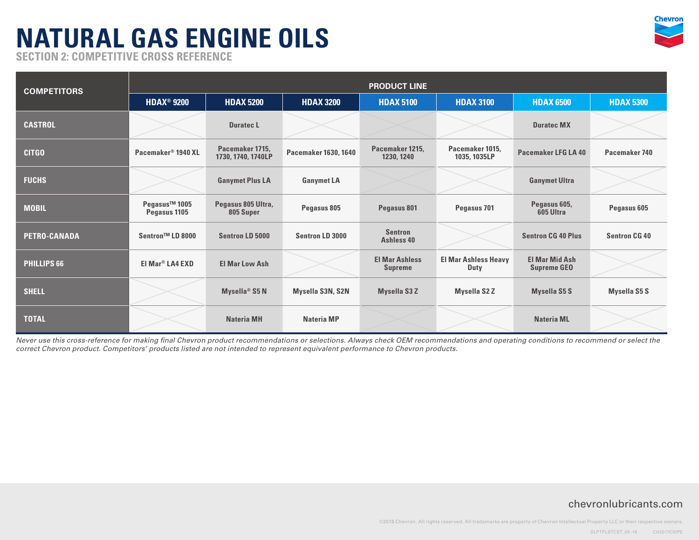

**SECTION 2: COMPETITIVE CROSS REFERENCE** 

| <b>COMPETITORS</b>  | <b>PRODUCT LINE</b>                       |                                       |                             |                                         |                                     |                                             |                      |  |  |
|---------------------|-------------------------------------------|---------------------------------------|-----------------------------|-----------------------------------------|-------------------------------------|---------------------------------------------|----------------------|--|--|
|                     | <b>HDAX<sup>®</sup> 9200</b>              | <b>HDAX 5200</b>                      | <b>HDAX 3200</b>            | <b>HDAX 5100</b>                        | <b>HDAX 3100</b>                    | <b>HDAX 6500</b>                            | <b>HDAX 5300</b>     |  |  |
| <b>CASTROL</b>      |                                           | Duratec L                             |                             |                                         |                                     | <b>Duratec MX</b>                           |                      |  |  |
| <b>CITGO</b>        | Pacemaker <sup>®</sup> 1940 XL            | Pacemaker 1715,<br>1730, 1740, 1740LP | <b>Pacemaker 1630, 1640</b> | Pacemaker 1215,<br>1230, 1240           | Pacemaker 1015,<br>1035, 1035LP     | Pacemaker LFG LA 40                         | Pacemaker 740        |  |  |
| <b>FUCHS</b>        |                                           | <b>Ganymet Plus LA</b>                | <b>Ganymet LA</b>           |                                         |                                     | <b>Ganymet Ultra</b>                        |                      |  |  |
| <b>MOBIL</b>        | Pegasus <sup>™</sup> 1005<br>Pegasus 1105 | Pegasus 805 Ultra,<br>805 Super       | Pegasus 805                 | Pegasus 801                             | Pegasus 701                         | Pegasus 605,<br>605 Ultra                   | Pegasus 605          |  |  |
| <b>PETRO-CANADA</b> | Sentron™ LD 8000                          | Sentron LD 5000                       | Sentron LD 3000             | <b>Sentron</b><br>Ashless 40            |                                     | <b>Sentron CG 40 Plus</b>                   | <b>Sentron CG 40</b> |  |  |
| <b>PHILLIPS 66</b>  | El Mar <sup>®</sup> LA4 EXD               | <b>El Mar Low Ash</b>                 |                             | <b>El Mar Ashless</b><br><b>Supreme</b> | <b>El Mar Ashless Heavy</b><br>Duty | <b>El Mar Mid Ash</b><br><b>Supreme GEO</b> |                      |  |  |
| <b>SHELL</b>        |                                           | Mysella <sup>®</sup> S5 N             | Mysella S3N, S2N            | <b>Mysella S3Z</b>                      | <b>Mysella S2Z</b>                  | <b>Mysella S5 S</b>                         | <b>Mysella S5 S</b>  |  |  |
| <b>TOTAL</b>        |                                           | <b>Nateria MH</b>                     | <b>Nateria MP</b>           |                                         |                                     | <b>Nateria ML</b>                           |                      |  |  |

*Never use this cross-reference for making final Chevron product recommendations or selections. Always check OEM recommendations and operating conditions to recommend or select the correct Chevron product. Competitors' products listed are not intended to represent equivalent performance to Chevron products.*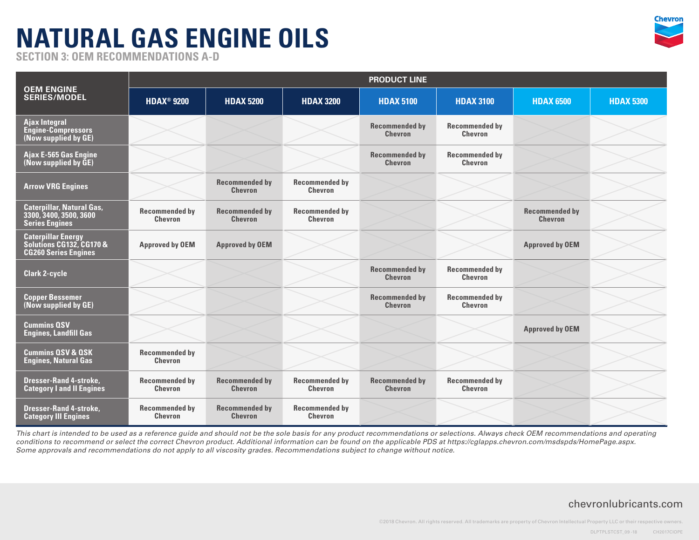

**SECTION 3: OEM RECOMMENDATIONS A-D**

| <b>OEM ENGINE</b><br><b>SERIES/MODEL</b>                                             | <b>PRODUCT LINE</b>                     |                                         |                                         |                                         |                                         |                                         |                  |  |  |
|--------------------------------------------------------------------------------------|-----------------------------------------|-----------------------------------------|-----------------------------------------|-----------------------------------------|-----------------------------------------|-----------------------------------------|------------------|--|--|
|                                                                                      | <b>HDAX<sup>®</sup> 9200</b>            | <b>HDAX 5200</b>                        | <b>HDAX 3200</b>                        | <b>HDAX 5100</b>                        | <b>HDAX 3100</b>                        | <b>HDAX 6500</b>                        | <b>HDAX 5300</b> |  |  |
| <b>Ajax Integral</b><br>Engine-Compressors<br>(Now supplied by GE)                   |                                         |                                         |                                         | <b>Recommended by</b><br><b>Chevron</b> | <b>Recommended by</b><br><b>Chevron</b> |                                         |                  |  |  |
| Ajax E-565 Gas Engine<br>(Now supplied by GE)                                        |                                         |                                         |                                         | <b>Recommended by</b><br><b>Chevron</b> | <b>Recommended by</b><br><b>Chevron</b> |                                         |                  |  |  |
| <b>Arrow VRG Engines</b>                                                             |                                         | <b>Recommended by</b><br><b>Chevron</b> | <b>Recommended by</b><br><b>Chevron</b> |                                         |                                         |                                         |                  |  |  |
| <b>Caterpillar, Natural Gas,</b><br>3300, 3400, 3500, 3600<br><b>Series Engines</b>  | <b>Recommended by</b><br><b>Chevron</b> | <b>Recommended by</b><br><b>Chevron</b> | <b>Recommended by</b><br><b>Chevron</b> |                                         |                                         | <b>Recommended by</b><br><b>Chevron</b> |                  |  |  |
| <b>Caterpillar Energy</b><br>Solutions CG132, CG170 &<br><b>CG260 Series Engines</b> | <b>Approved by OEM</b>                  | <b>Approved by OEM</b>                  |                                         |                                         |                                         | <b>Approved by OEM</b>                  |                  |  |  |
| <b>Clark 2-cycle</b>                                                                 |                                         |                                         |                                         | <b>Recommended by</b><br><b>Chevron</b> | <b>Recommended by</b><br><b>Chevron</b> |                                         |                  |  |  |
| <b>Copper Bessemer</b><br>(Now supplied by GE)                                       |                                         |                                         |                                         | <b>Recommended by</b><br><b>Chevron</b> | <b>Recommended by</b><br><b>Chevron</b> |                                         |                  |  |  |
| <b>Cummins QSV</b><br><b>Engines, Landfill Gas</b>                                   |                                         |                                         |                                         |                                         |                                         | <b>Approved by OEM</b>                  |                  |  |  |
| <b>Cummins QSV &amp; QSK</b><br><b>Engines, Natural Gas</b>                          | <b>Recommended by</b><br><b>Chevron</b> |                                         |                                         |                                         |                                         |                                         |                  |  |  |
| <b>Dresser-Rand 4-stroke,</b><br><b>Category I and II Engines</b>                    | <b>Recommended by</b><br><b>Chevron</b> | <b>Recommended by</b><br><b>Chevron</b> | <b>Recommended by</b><br><b>Chevron</b> | <b>Recommended by</b><br><b>Chevron</b> | <b>Recommended by</b><br><b>Chevron</b> |                                         |                  |  |  |
| <b>Dresser-Rand 4-stroke,</b><br><b>Category III Engines</b>                         | <b>Recommended by</b><br><b>Chevron</b> | <b>Recommended by</b><br><b>Chevron</b> | <b>Recommended by</b><br><b>Chevron</b> |                                         |                                         |                                         |                  |  |  |

*This chart is intended to be used as a reference guide and should not be the sole basis for any product recommendations or selections. Always check OEM recommendations and operating conditions to recommend or select the correct Chevron product. Additional information can be found on the applicable PDS at https://cglapps.chevron.com/msdspds/HomePage.aspx. Some approvals and recommendations do not apply to all viscosity grades. Recommendations subject to change without notice.*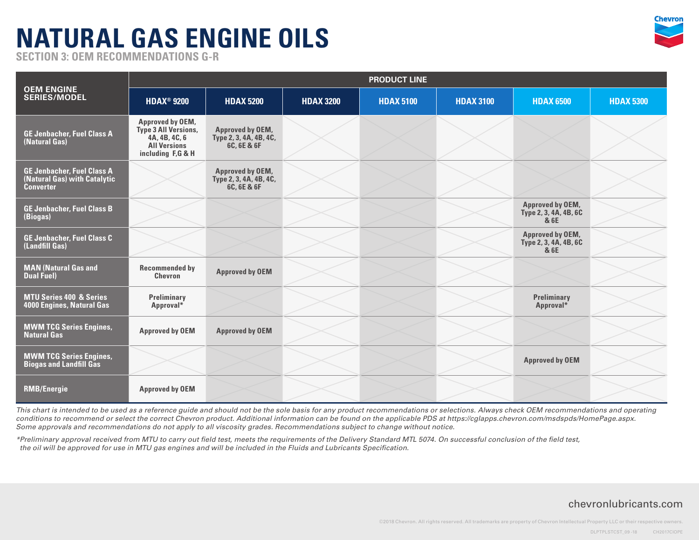

**SECTION 3: OEM RECOMMENDATIONS G-R**

| <b>OEM ENGINE</b><br><b>SERIES/MODEL</b>                                              | <b>PRODUCT LINE</b>                                                                                   |                                                                  |                  |                  |                  |                                                          |                  |  |  |
|---------------------------------------------------------------------------------------|-------------------------------------------------------------------------------------------------------|------------------------------------------------------------------|------------------|------------------|------------------|----------------------------------------------------------|------------------|--|--|
|                                                                                       | <b>HDAX<sup>®</sup> 9200</b>                                                                          | <b>HDAX 5200</b>                                                 | <b>HDAX 3200</b> | <b>HDAX 5100</b> | <b>HDAX 3100</b> | <b>HDAX 6500</b>                                         | <b>HDAX 5300</b> |  |  |
| <b>GE Jenbacher, Fuel Class A</b><br>(Natural Gas)                                    | Approved by OEM,<br>Type 3 All Versions,<br>4A, 4B, 4C, 6<br><b>All Versions</b><br>including F,G & H | <b>Approved by OEM,</b><br>Type 2, 3, 4A, 4B, 4C,<br>6C, 6E & 6F |                  |                  |                  |                                                          |                  |  |  |
| <b>GE Jenbacher, Fuel Class A</b><br>(Natural Gas) with Catalytic<br><b>Converter</b> |                                                                                                       | Approved by OEM,<br>Type 2, 3, 4A, 4B, 4C,<br>6C, 6E & 6F        |                  |                  |                  |                                                          |                  |  |  |
| <b>GE Jenbacher, Fuel Class B</b><br>(Biogas)                                         |                                                                                                       |                                                                  |                  |                  |                  | <b>Approved by OEM,</b><br>Type 2, 3, 4A, 4B, 6C<br>& 6E |                  |  |  |
| <b>GE Jenbacher, Fuel Class C</b><br>(Landfill Gas)                                   |                                                                                                       |                                                                  |                  |                  |                  | <b>Approved by OEM,</b><br>Type 2, 3, 4A, 4B, 6C<br>& 6E |                  |  |  |
| <b>MAN (Natural Gas and</b><br><b>Dual Fuel)</b>                                      | <b>Recommended by</b><br>Chevron                                                                      | <b>Approved by OEM</b>                                           |                  |                  |                  |                                                          |                  |  |  |
| <b>MTU Series 400 &amp; Series</b><br>4000 Engines, Natural Gas                       | Preliminary<br>Approval*                                                                              |                                                                  |                  |                  |                  | Preliminary<br>Approval*                                 |                  |  |  |
| <b>MWM TCG Series Engines,</b><br><b>Natural Gas</b>                                  | <b>Approved by OEM</b>                                                                                | <b>Approved by OEM</b>                                           |                  |                  |                  |                                                          |                  |  |  |
| <b>MWM TCG Series Engines,</b><br><b>Biogas and Landfill Gas</b>                      |                                                                                                       |                                                                  |                  |                  |                  | <b>Approved by OEM</b>                                   |                  |  |  |
| <b>RMB/Energie</b>                                                                    | <b>Approved by OEM</b>                                                                                |                                                                  |                  |                  |                  |                                                          |                  |  |  |

*This chart is intended to be used as a reference guide and should not be the sole basis for any product recommendations or selections. Always check OEM recommendations and operating*  conditions to recommend or select the correct Chevron product. Additional information can be found on the applicable PDS at https://cglapps.chevron.com/msdspds/HomePage.aspx. *Some approvals and recommendations do not apply to all viscosity grades. Recommendations subject to change without notice.*

*\*Preliminary approval received from MTU to carry out field test, meets the requirements of the Delivery Standard MTL 5074. On successful conclusion of the field test, the oil will be approved for use in MTU gas engines and will be included in the Fluids and Lubricants Specification.*